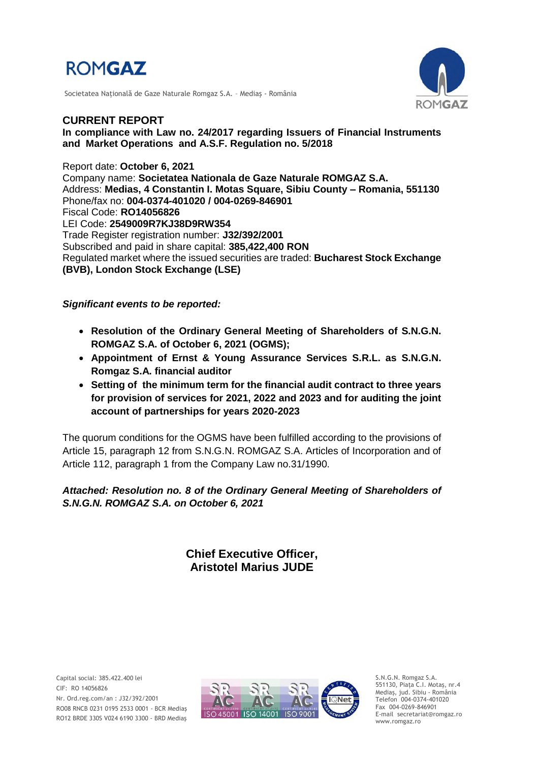

Societatea Naţională de Gaze Naturale Romgaz S.A. – Mediaş - România



**CURRENT REPORT In compliance with Law no. 24/2017 regarding Issuers of Financial Instruments and Market Operations and A.S.F. Regulation no. 5/2018**

Report date: **October 6, 2021** Company name: **Societatea Nationala de Gaze Naturale ROMGAZ S.A.** Address: **Medias, 4 Constantin I. Motas Square, Sibiu County – Romania, 551130** Phone/fax no: **004-0374-401020 / 004-0269-846901** Fiscal Code: **RO14056826** LEI Code: **2549009R7KJ38D9RW354** Trade Register registration number: **J32/392/2001** Subscribed and paid in share capital: **385,422,400 RON** Regulated market where the issued securities are traded: **Bucharest Stock Exchange (BVB), London Stock Exchange (LSE)**

#### *Significant events to be reported:*

- **Resolution of the Ordinary General Meeting of Shareholders of S.N.G.N. ROMGAZ S.A. of October 6, 2021 (OGMS);**
- **Appointment of Ernst & Young Assurance Services S.R.L. as S.N.G.N. Romgaz S.A. financial auditor**
- **Setting of the minimum term for the financial audit contract to three years for provision of services for 2021, 2022 and 2023 and for auditing the joint account of partnerships for years 2020-2023**

The quorum conditions for the OGMS have been fulfilled according to the provisions of Article 15, paragraph 12 from S.N.G.N. ROMGAZ S.A. Articles of Incorporation and of Article 112, paragraph 1 from the Company Law no.31/1990.

## *Attached: Resolution no. 8 of the Ordinary General Meeting of Shareholders of S.N.G.N. ROMGAZ S.A. on October 6, 2021*

# **Chief Executive Officer, Aristotel Marius JUDE**



S.N.G.N. Romgaz S.A. 551130, Piața C.I. Motaş, nr.4 Mediaş, jud. Sibiu - România Telefon 004-0374-401020 Fax 004-0269-846901 E-mail secretariat@romgaz.ro www.romgaz.ro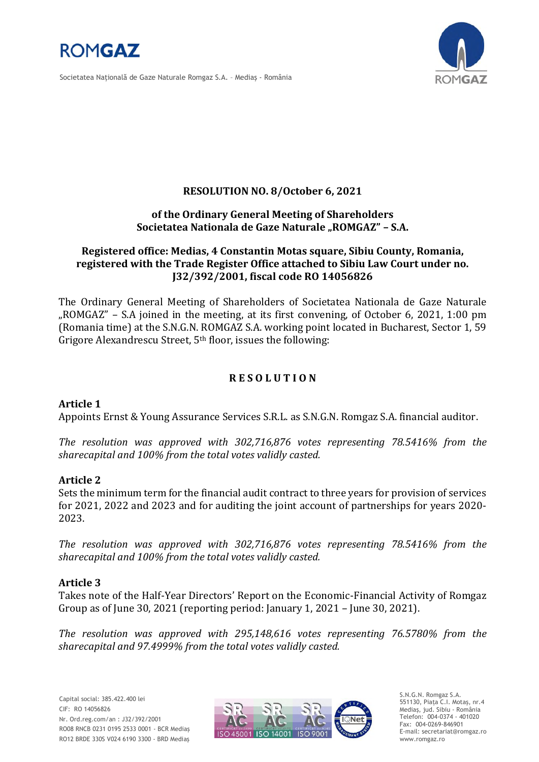

Societatea Naţională de Gaze Naturale Romgaz S.A. – Mediaş - România



# **RESOLUTION NO. 8/October 6, 2021**

### **of the Ordinary General Meeting of Shareholders**  Societatea Nationala de Gaze Naturale "ROMGAZ" - S.A.

# **Registered office: Medias, 4 Constantin Motas square, Sibiu County, Romania, registered with the Trade Register Office attached to Sibiu Law Court under no. J32/392/2001, fiscal code RO 14056826**

The Ordinary General Meeting of Shareholders of Societatea Nationala de Gaze Naturale "ROMGAZ" – S.A joined in the meeting, at its first convening, of October 6, 2021, 1:00 pm (Romania time) at the S.N.G.N. ROMGAZ S.A. working point located in Bucharest, Sector 1, 59 Grigore Alexandrescu Street,  $5<sup>th</sup>$  floor, issues the following:

# **R E S O L U T I O N**

## **Article 1**

Appoints Ernst & Young Assurance Services S.R.L. as S.N.G.N. Romgaz S.A. financial auditor.

*The resolution was approved with 302,716,876 votes representing 78.5416% from the sharecapital and 100% from the total votes validly casted.*

#### **Article 2**

Sets the minimum term for the financial audit contract to three years for provision of services for 2021, 2022 and 2023 and for auditing the joint account of partnerships for years 2020- 2023.

*The resolution was approved with 302,716,876 votes representing 78.5416% from the sharecapital and 100% from the total votes validly casted.*

## **Article 3**

Takes note of the Half-Year Directors' Report on the Economic-Financial Activity of Romgaz Group as of June 30, 2021 (reporting period: January 1, 2021 – June 30, 2021).

*The resolution was approved with 295,148,616 votes representing 76.5780% from the sharecapital and 97.4999% from the total votes validly casted.*



S.N.G.N. Romgaz S.A. 551130, Piața C.I. Motaş, nr.4 Mediaş, jud. Sibiu - România Telefon: 004-0374 - 401020 Fax: 004-0269-846901 E-mail: secretariat@romgaz.ro www.romgaz.ro